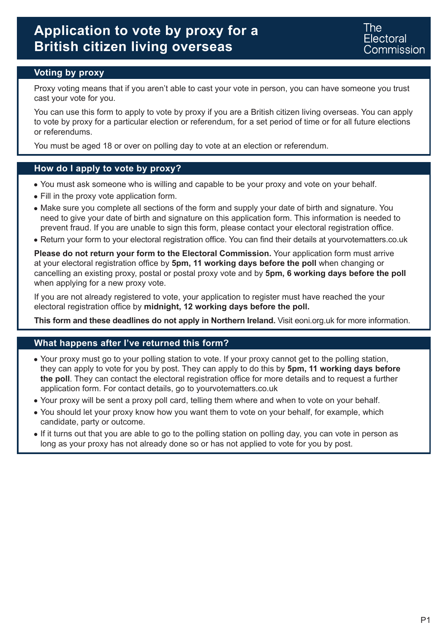The Electoral :**ommission** 

### **Voting by proxy**

Proxy voting means that if you aren't able to cast your vote in person, you can have someone you trust cast your vote for you.

You can use this form to apply to vote by proxy if you are a British citizen living overseas. You can apply to vote by proxy for a particular election or referendum, for a set period of time or for all future elections or referendums.

You must be aged 18 or over on polling day to vote at an election or referendum.

#### **How do I apply to vote by proxy?**

- You must ask someone who is willing and capable to be your proxy and vote on your behalf.
- Fill in the proxy vote application form.
- Make sure you complete all sections of the form and supply your date of birth and signature. You need to give your date of birth and signature on this application form. This information is needed to prevent fraud. If you are unable to sign this form, please contact your electoral registration office.
- Return your form to your electoral registration office. You can find their details at yourvotematters.co.uk

**Please do not return your form to the Electoral Commission.** Your application form must arrive at your electoral registration office by **5pm, 11 working days before the poll** when changing or cancelling an existing proxy, postal or postal proxy vote and by **5pm, 6 working days before the poll** when applying for a new proxy vote.

If you are not already registered to vote, your application to register must have reached the your electoral registration office by **midnight, 12 working days before the poll.** 

**This form and these deadlines do not apply in Northern Ireland.** Visit eoni.org.uk for more information.

#### **What happens after I've returned this form?**

- Your proxy must go to your polling station to vote. If your proxy cannot get to the polling station, they can apply to vote for you by post. They can apply to do this by **5pm, 11 working days before the poll**. They can contact the electoral registration office for more details and to request a further application form. For contact details, go to yourvotematters.co.uk
- Your proxy will be sent a proxy poll card, telling them where and when to vote on your behalf.
- You should let your proxy know how you want them to vote on your behalf, for example, which candidate, party or outcome.
- If it turns out that you are able to go to the polling station on polling day, you can vote in person as long as your proxy has not already done so or has not applied to vote for you by post.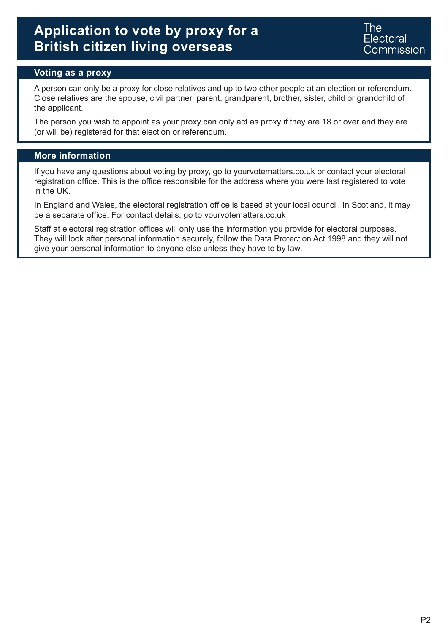The: Electoral Commission

#### **Voting as a proxy**

A person can only be a proxy for close relatives and up to two other people at an election or referendum. Close relatives are the spouse, civil partner, parent, grandparent, brother, sister, child or grandchild of the applicant.

The person you wish to appoint as your proxy can only act as proxy if they are 18 or over and they are (or will be) registered for that election or referendum.

#### **More information**

If you have any questions about voting by proxy, go to yourvotematters.co.uk or contact your electoral registration office. This is the office responsible for the address where you were last registered to vote in the UK.

In England and Wales, the electoral registration office is based at your local council. In Scotland, it may be a separate office. For contact details, go to yourvotematters.co.uk

Staff at electoral registration offices will only use the information you provide for electoral purposes. They will look after personal information securely, follow the Data Protection Act 1998 and they will not give your personal information to anyone else unless they have to by law.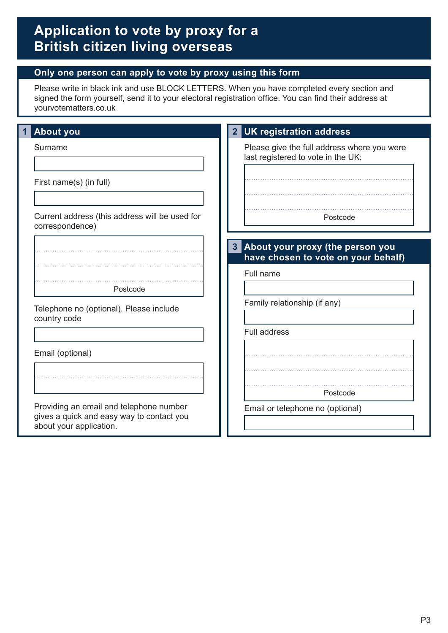### **Only one person can apply to vote by proxy using this form**

Please write in black ink and use BLOCK LETTERS. When you have completed every section and signed the form yourself, send it to your electoral registration office. You can find their address at yourvotematters.co.uk

| <b>About you</b>                                                                                                | 2 UK registration address                                                               |
|-----------------------------------------------------------------------------------------------------------------|-----------------------------------------------------------------------------------------|
| Surname                                                                                                         | Please give the full address where you were<br>last registered to vote in the UK:       |
| First name(s) (in full)                                                                                         |                                                                                         |
| Current address (this address will be used for<br>correspondence)                                               | Postcode                                                                                |
|                                                                                                                 | About your proxy (the person you<br>$\mathbf{3}$<br>have chosen to vote on your behalf) |
|                                                                                                                 | Full name                                                                               |
| Postcode                                                                                                        |                                                                                         |
| Telephone no (optional). Please include<br>country code                                                         | Family relationship (if any)                                                            |
|                                                                                                                 | <b>Full address</b>                                                                     |
| Email (optional)                                                                                                |                                                                                         |
|                                                                                                                 |                                                                                         |
|                                                                                                                 | Postcode                                                                                |
| Providing an email and telephone number<br>gives a quick and easy way to contact you<br>about your application. | Email or telephone no (optional)                                                        |